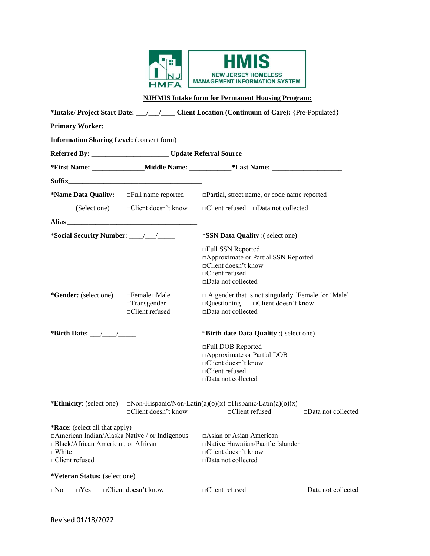

**NJHMIS Intake form for Permanent Housing Program:** 

|                                                                                                                                                                                                                               |                                                                          | *Intake/ Project Start Date: / / / Client Location (Continuum of Care): {Pre-Populated}                                                    |                              |  |  |
|-------------------------------------------------------------------------------------------------------------------------------------------------------------------------------------------------------------------------------|--------------------------------------------------------------------------|--------------------------------------------------------------------------------------------------------------------------------------------|------------------------------|--|--|
|                                                                                                                                                                                                                               |                                                                          |                                                                                                                                            |                              |  |  |
| <b>Information Sharing Level:</b> (consent form)                                                                                                                                                                              |                                                                          |                                                                                                                                            |                              |  |  |
|                                                                                                                                                                                                                               |                                                                          |                                                                                                                                            |                              |  |  |
|                                                                                                                                                                                                                               |                                                                          |                                                                                                                                            |                              |  |  |
|                                                                                                                                                                                                                               |                                                                          |                                                                                                                                            |                              |  |  |
|                                                                                                                                                                                                                               |                                                                          | *Name Data Quality: $\Box$ Full name reported $\Box$ Partial, street name, or code name reported                                           |                              |  |  |
|                                                                                                                                                                                                                               | (Select one) $\Box$ Client doesn't know                                  | $\Box$ Client refused $\Box$ Data not collected                                                                                            |                              |  |  |
| Alias and the state of the state of the state of the state of the state of the state of the state of the state of the state of the state of the state of the state of the state of the state of the state of the state of the |                                                                          |                                                                                                                                            |                              |  |  |
|                                                                                                                                                                                                                               |                                                                          | <i>*SSN Data Quality</i> :(select one)                                                                                                     |                              |  |  |
|                                                                                                                                                                                                                               |                                                                          | □Full SSN Reported<br>□ Approximate or Partial SSN Reported<br>□Client doesn't know<br>□Client refused<br>□Data not collected              |                              |  |  |
| *Gender: (select one)                                                                                                                                                                                                         | $\Box$ Female $\Box$ Male<br>$\Box$ Transgender<br>$\Box$ Client refused | $\Box$ A gender that is not singularly 'Female 'or 'Male'<br>$\Box$ Questioning $\Box$ Client doesn't know<br>$\square$ Data not collected |                              |  |  |
| *Birth Date: $\_\_\_\_\_\_\_\_\_\$                                                                                                                                                                                            |                                                                          | *Birth date Data Quality :(select one)                                                                                                     |                              |  |  |
|                                                                                                                                                                                                                               |                                                                          | □Full DOB Reported<br>□ Approximate or Partial DOB<br>□Client doesn't know<br>□Client refused<br>□Data not collected                       |                              |  |  |
| <i>*Ethnicity:</i> (select one)                                                                                                                                                                                               | $\Box$ Client doesn't know                                               | $\Box$ Non-Hispanic/Non-Latin(a)(o)(x) $\Box$ Hispanic/Latin(a)(o)(x)<br>$\Box$ Client refused                                             | $\square$ Data not collected |  |  |
| <b>*Race:</b> (select all that apply)<br>□Black/African American, or African<br>$\square$ White<br>□Client refused                                                                                                            | □American Indian/Alaska Native / or Indigenous                           | $\Box$ Asian or Asian American<br>$\Box$ Native Hawaiian/Pacific Islander<br>□Client doesn't know<br>$\square$ Data not collected          |                              |  |  |
| *Veteran Status: (select one)                                                                                                                                                                                                 |                                                                          |                                                                                                                                            |                              |  |  |
| $\Box$ Yes<br>$\square$ No                                                                                                                                                                                                    | $\Box$ Client doesn't know                                               | □Client refused                                                                                                                            | $\square$ Data not collected |  |  |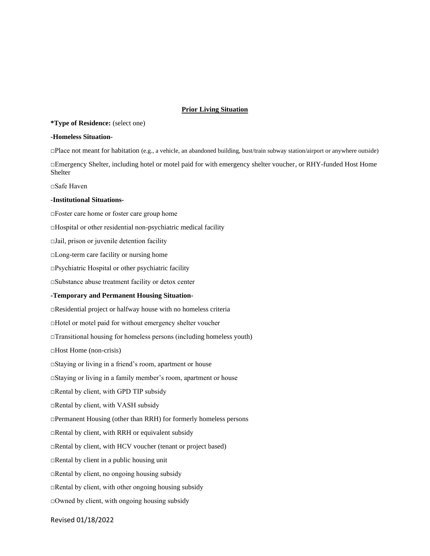### **Prior Living Situation**

### **\*Type of Residence:** (select one)

#### **-Homeless Situation-**

□Place not meant for habitation (e.g., a vehicle, an abandoned building, bust/train subway station/airport or anywhere outside)

□Emergency Shelter, including hotel or motel paid for with emergency shelter voucher, or RHY-funded Host Home Shelter

□Safe Haven

#### **-Institutional Situations-**

□Foster care home or foster care group home

□Hospital or other residential non-psychiatric medical facility

 $\Box$ Jail, prison or juvenile detention facility

□Long-term care facility or nursing home

□Psychiatric Hospital or other psychiatric facility

□Substance abuse treatment facility or detox center

#### **-Temporary and Permanent Housing Situation-**

□Residential project or halfway house with no homeless criteria

□Hotel or motel paid for without emergency shelter voucher

 $\Box$ Transitional housing for homeless persons (including homeless youth)

□Host Home (non-crisis)

□Staying or living in a friend's room, apartment or house

□Staying or living in a family member's room, apartment or house

□Rental by client, with GPD TIP subsidy

□Rental by client, with VASH subsidy

 $\Box$ Permanent Housing (other than RRH) for formerly homeless persons

□Rental by client, with RRH or equivalent subsidy

□Rental by client, with HCV voucher (tenant or project based)

□Rental by client in a public housing unit

□Rental by client, no ongoing housing subsidy

 $\Box$ Rental by client, with other ongoing housing subsidy

 $\Box$ Owned by client, with ongoing housing subsidy

Revised 01/18/2022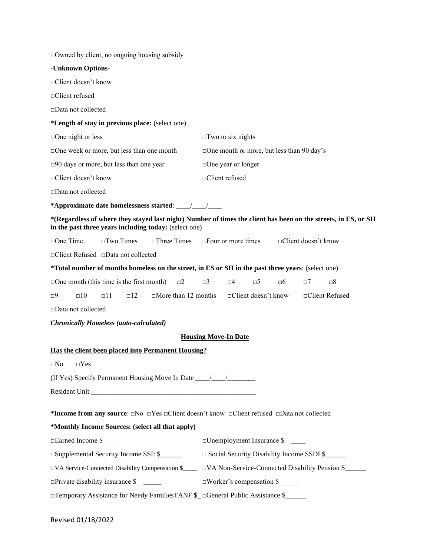| $\Box$ Owned by client, no ongoing housing subsidy                                                                                      |                                                                                                                |  |  |  |  |
|-----------------------------------------------------------------------------------------------------------------------------------------|----------------------------------------------------------------------------------------------------------------|--|--|--|--|
| -Unknown Options-                                                                                                                       |                                                                                                                |  |  |  |  |
| □Client doesn't know                                                                                                                    |                                                                                                                |  |  |  |  |
| □Client refused                                                                                                                         |                                                                                                                |  |  |  |  |
| □Data not collected                                                                                                                     |                                                                                                                |  |  |  |  |
| *Length of stay in previous place: (select one)                                                                                         |                                                                                                                |  |  |  |  |
| $\Box$ One night or less                                                                                                                | $\Box$ Two to six nights                                                                                       |  |  |  |  |
| $\square$ One week or more, but less than one month                                                                                     | $\Box$ One month or more, but less than 90 day's                                                               |  |  |  |  |
| $\square$ 90 days or more, but less than one year                                                                                       | $\Box$ One year or longer                                                                                      |  |  |  |  |
| □Client doesn't know                                                                                                                    | □Client refused                                                                                                |  |  |  |  |
| □Data not collected                                                                                                                     |                                                                                                                |  |  |  |  |
|                                                                                                                                         |                                                                                                                |  |  |  |  |
| in the past three years including today: (select one)                                                                                   | *(Regardless of where they stayed last night) Number of times the client has been on the streets, in ES, or SH |  |  |  |  |
| $\Box$ One Time<br>$\square$ Two Times<br>$\Box$ Three Times                                                                            | $\Box$ Four or more times<br>□Client doesn't know                                                              |  |  |  |  |
| □ Client Refused □ Data not collected                                                                                                   |                                                                                                                |  |  |  |  |
| *Total number of months homeless on the street, in ES or SH in the past three years: (select one)                                       |                                                                                                                |  |  |  |  |
| $\Box$ One month (this time is the first month)<br>$\square$                                                                            | $\Box$ 3<br>$\square 4$<br>$\square 5$<br>$\neg 6$<br>$\square 8$<br>$\Box$ 7                                  |  |  |  |  |
| $\Box$ More than 12 months<br>$\Box$ 10<br>$\Box$ 11<br>$\Box$ 12<br>□9                                                                 | $\Box$ Client doesn't know<br>□Client Refused                                                                  |  |  |  |  |
| □Data not collected                                                                                                                     |                                                                                                                |  |  |  |  |
| <b>Chronically Homeless (auto-calculated)</b>                                                                                           |                                                                                                                |  |  |  |  |
|                                                                                                                                         | <b>Housing Move-In Date</b>                                                                                    |  |  |  |  |
| Has the client been placed into Permanent Housing?                                                                                      |                                                                                                                |  |  |  |  |
| $\square$ No $\square$ Yes                                                                                                              |                                                                                                                |  |  |  |  |
| (If Yes) Specify Permanent Housing Move In Date ________________________________                                                        |                                                                                                                |  |  |  |  |
|                                                                                                                                         |                                                                                                                |  |  |  |  |
|                                                                                                                                         |                                                                                                                |  |  |  |  |
| *Income from any source: $\square$ No $\square$ Yes $\square$ Client doesn't know $\square$ Client refused $\square$ Data not collected |                                                                                                                |  |  |  |  |
| *Monthly Income Sources: (select all that apply)                                                                                        |                                                                                                                |  |  |  |  |
| □Earned Income \$                                                                                                                       | □Unemployment Insurance \$                                                                                     |  |  |  |  |
| □Supplemental Security Income SSI: \$                                                                                                   | □ Social Security Disability Income SSDI \$                                                                    |  |  |  |  |
| □VA Service-Connected Disability Compensation \$                                                                                        | □VA Non-Service-Connected Disability Pension \$                                                                |  |  |  |  |
|                                                                                                                                         | □Worker's compensation \$                                                                                      |  |  |  |  |
| □Temporary Assistance for Needy FamiliesTANF \$_ □General Public Assistance \$_____                                                     |                                                                                                                |  |  |  |  |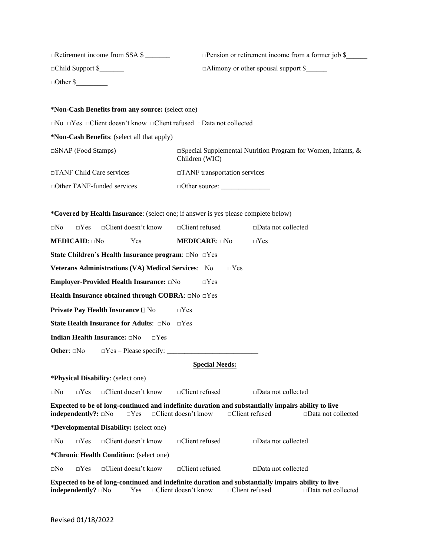| □Retirement income from SSA \$                                                                                                                  |                                                                                       | $\Box$ Pension or retirement income from a former job \$ |  |  |  |  |
|-------------------------------------------------------------------------------------------------------------------------------------------------|---------------------------------------------------------------------------------------|----------------------------------------------------------|--|--|--|--|
| $\Box$ Child Support \$                                                                                                                         |                                                                                       | □Alimony or other spousal support \$                     |  |  |  |  |
| $\Box$ Other \$                                                                                                                                 |                                                                                       |                                                          |  |  |  |  |
|                                                                                                                                                 |                                                                                       |                                                          |  |  |  |  |
| *Non-Cash Benefits from any source: (select one)                                                                                                |                                                                                       |                                                          |  |  |  |  |
| $\Box$ No $\Box$ Yes $\Box$ Client doesn't know $\Box$ Client refused $\Box$ Data not collected                                                 |                                                                                       |                                                          |  |  |  |  |
| *Non-Cash Benefits: (select all that apply)                                                                                                     |                                                                                       |                                                          |  |  |  |  |
| $\Box$ SNAP (Food Stamps)                                                                                                                       | $\Box$ Special Supplemental Nutrition Program for Women, Infants, &<br>Children (WIC) |                                                          |  |  |  |  |
| □TANF Child Care services                                                                                                                       | □TANF transportation services                                                         |                                                          |  |  |  |  |
| □ Other TANF-funded services                                                                                                                    |                                                                                       |                                                          |  |  |  |  |
|                                                                                                                                                 |                                                                                       |                                                          |  |  |  |  |
| *Covered by Health Insurance: (select one; if answer is yes please complete below)                                                              |                                                                                       |                                                          |  |  |  |  |
| $\Box$ Yes $\Box$ Client doesn't know $\Box$ Client refused<br>$\square$ No                                                                     |                                                                                       | $\square$ Data not collected                             |  |  |  |  |
| MEDICAID: □No<br>$\Box$ Yes                                                                                                                     | <b>MEDICARE: ONO</b>                                                                  | $\Box$ Yes                                               |  |  |  |  |
| State Children's Health Insurance program: $\Box$ No $\Box$ Yes                                                                                 |                                                                                       |                                                          |  |  |  |  |
| Veterans Administrations (VA) Medical Services: aNo                                                                                             | $\Box$ Yes                                                                            |                                                          |  |  |  |  |
| Employer-Provided Health Insurance: DNo                                                                                                         | $\Box$ Yes                                                                            |                                                          |  |  |  |  |
| Health Insurance obtained through COBRA: aNo aYes                                                                                               |                                                                                       |                                                          |  |  |  |  |
| <b>Private Pay Health Insurance □ No</b>                                                                                                        | $\Box$ Yes                                                                            |                                                          |  |  |  |  |
| State Health Insurance for Adults: $\Box$ No $\Box$ Yes                                                                                         |                                                                                       |                                                          |  |  |  |  |
| <b>Indian Health Insurance:</b> □No<br>$\Box$ Yes                                                                                               |                                                                                       |                                                          |  |  |  |  |
|                                                                                                                                                 |                                                                                       |                                                          |  |  |  |  |
|                                                                                                                                                 | <b>Special Needs:</b>                                                                 |                                                          |  |  |  |  |
| *Physical Disability: (select one)                                                                                                              |                                                                                       |                                                          |  |  |  |  |
| □Client doesn't know<br>⊡No<br>$\Box$ Yes                                                                                                       | □Client refused                                                                       | $\square$ Data not collected                             |  |  |  |  |
| Expected to be of long-continued and indefinite duration and substantially impairs ability to live<br>$independently$ : $\Box$ No<br>$\Box$ Yes | $\Box$ Client doesn't know<br>$\Box$ Client refused                                   | $\Box$ Data not collected                                |  |  |  |  |
| *Developmental Disability: (select one)                                                                                                         |                                                                                       |                                                          |  |  |  |  |
| □Client doesn't know<br>$\square$ No<br>$\Box$ Yes                                                                                              | $\Box$ Client refused                                                                 | $\square$ Data not collected                             |  |  |  |  |
| *Chronic Health Condition: (select one)                                                                                                         |                                                                                       |                                                          |  |  |  |  |
| □Client doesn't know<br>$\Box$ Yes<br>⊡No                                                                                                       | □Client refused                                                                       | $\square$ Data not collected                             |  |  |  |  |
| Expected to be of long-continued and indefinite duration and substantially impairs ability to live<br>independently? <b>a</b> No<br>$\Box Yes$  | □Client doesn't know<br>□Client refused                                               | $\square$ Data not collected                             |  |  |  |  |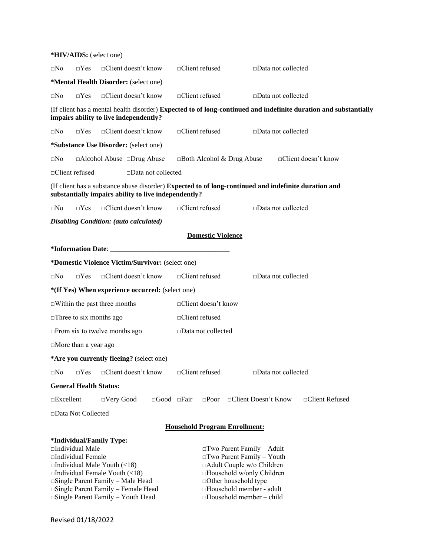| *HIV/AIDS: (select one)                                                                                                                                                                                                                                                  |                               |                              |                            |                                                                                                                                                                                                                           |                              |                       |  |
|--------------------------------------------------------------------------------------------------------------------------------------------------------------------------------------------------------------------------------------------------------------------------|-------------------------------|------------------------------|----------------------------|---------------------------------------------------------------------------------------------------------------------------------------------------------------------------------------------------------------------------|------------------------------|-----------------------|--|
| $\neg Yes$<br>$\square$ No                                                                                                                                                                                                                                               | $\Box$ Client doesn't know    | □Client refused              |                            |                                                                                                                                                                                                                           | □Data not collected          |                       |  |
| *Mental Health Disorder: (select one)                                                                                                                                                                                                                                    |                               |                              |                            |                                                                                                                                                                                                                           |                              |                       |  |
| $\neg Yes$<br>$\square$ No                                                                                                                                                                                                                                               | $\Box$ Client doesn't know    | $\Box$ Client refused        |                            |                                                                                                                                                                                                                           | $\Box$ Data not collected    |                       |  |
| (If client has a mental health disorder) Expected to of long-continued and indefinite duration and substantially<br>impairs ability to live independently?                                                                                                               |                               |                              |                            |                                                                                                                                                                                                                           |                              |                       |  |
| $\neg Yes$<br>$\square$ No                                                                                                                                                                                                                                               | □Client doesn't know          | □Client refused              |                            |                                                                                                                                                                                                                           | $\square$ Data not collected |                       |  |
| <i>*Substance Use Disorder: (select one)</i>                                                                                                                                                                                                                             |                               |                              |                            |                                                                                                                                                                                                                           |                              |                       |  |
| □Alcohol Abuse □Drug Abuse<br>$\square$ No                                                                                                                                                                                                                               |                               |                              |                            | $\Box$ Both Alcohol & Drug Abuse                                                                                                                                                                                          |                              | □Client doesn't know  |  |
| □Client refused                                                                                                                                                                                                                                                          | $\square$ Data not collected  |                              |                            |                                                                                                                                                                                                                           |                              |                       |  |
| (If client has a substance abuse disorder) Expected to of long-continued and indefinite duration and<br>substantially impairs ability to live independently?                                                                                                             |                               |                              |                            |                                                                                                                                                                                                                           |                              |                       |  |
| $\neg Yes$<br>$\square$ No                                                                                                                                                                                                                                               | $\Box$ Client doesn't know    | $\Box$ Client refused        |                            |                                                                                                                                                                                                                           | $\Box$ Data not collected    |                       |  |
| <b>Disabling Condition:</b> (auto calculated)                                                                                                                                                                                                                            |                               |                              |                            |                                                                                                                                                                                                                           |                              |                       |  |
| <b>Domestic Violence</b>                                                                                                                                                                                                                                                 |                               |                              |                            |                                                                                                                                                                                                                           |                              |                       |  |
|                                                                                                                                                                                                                                                                          |                               |                              |                            |                                                                                                                                                                                                                           |                              |                       |  |
| *Domestic Violence Victim/Survivor: (select one)                                                                                                                                                                                                                         |                               |                              |                            |                                                                                                                                                                                                                           |                              |                       |  |
| $\Box$ Yes<br>$\square$ No                                                                                                                                                                                                                                               | $\Box$ Client doesn't know    | $\Box$ Client refused        |                            |                                                                                                                                                                                                                           | $\square$ Data not collected |                       |  |
| *(If Yes) When experience occurred: (select one)                                                                                                                                                                                                                         |                               |                              |                            |                                                                                                                                                                                                                           |                              |                       |  |
| $\Box$ Within the past three months                                                                                                                                                                                                                                      |                               |                              | $\Box$ Client doesn't know |                                                                                                                                                                                                                           |                              |                       |  |
| $\square$ Three to six months ago                                                                                                                                                                                                                                        | $\Box$ Client refused         |                              |                            |                                                                                                                                                                                                                           |                              |                       |  |
| $\Box$ From six to twelve months ago                                                                                                                                                                                                                                     |                               | $\square$ Data not collected |                            |                                                                                                                                                                                                                           |                              |                       |  |
| $\Box$ More than a year ago                                                                                                                                                                                                                                              |                               |                              |                            |                                                                                                                                                                                                                           |                              |                       |  |
| *Are you currently fleeing? (select one)                                                                                                                                                                                                                                 |                               |                              |                            |                                                                                                                                                                                                                           |                              |                       |  |
| $\square$ No<br>$\Box$ Yes                                                                                                                                                                                                                                               | $\Box$ Client doesn't know    | □Client refused              |                            |                                                                                                                                                                                                                           | $\square$ Data not collected |                       |  |
| <b>General Health Status:</b>                                                                                                                                                                                                                                            |                               |                              |                            |                                                                                                                                                                                                                           |                              |                       |  |
| $\square$ Excellent<br>$\Box$ Very Good                                                                                                                                                                                                                                  | $\square$ Good $\square$ Fair |                              | $\square$ Poor             | □Client Doesn't Know                                                                                                                                                                                                      |                              | $\Box$ Client Refused |  |
| □Data Not Collected                                                                                                                                                                                                                                                      |                               |                              |                            |                                                                                                                                                                                                                           |                              |                       |  |
| <b>Household Program Enrollment:</b>                                                                                                                                                                                                                                     |                               |                              |                            |                                                                                                                                                                                                                           |                              |                       |  |
| *Individual/Family Type:<br>□Individual Male<br>□Individual Female<br>$\Box$ Individual Male Youth (<18)<br>$\Box$ Individual Female Youth (<18)<br>□Single Parent Family – Male Head<br>□Single Parent Family – Female Head<br>$\Box$ Single Parent Family – Youth Head |                               |                              |                            | $\Box$ Two Parent Family - Adult<br>$\Box$ Two Parent Family - Youth<br>□Adult Couple w/o Children<br>□Household w/only Children<br>□Other household type<br>□Household member - adult<br>$\Box$ Household member – child |                              |                       |  |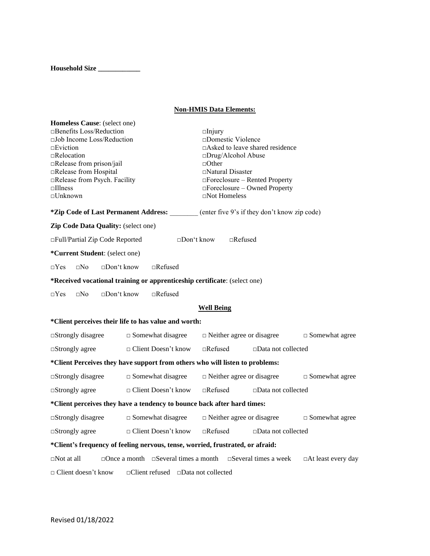**Household Size \_\_\_\_\_\_\_\_\_\_\_\_**

# **Non-HMIS Data Elements:**

| Homeless Cause: (select one)<br>$\Box$ Benefits Loss/Reduction<br>$\square$ Job Income Loss/Reduction<br>$\Box$ Eviction<br>$\Box$ Relocation<br>□Release from prison/jail<br>□Release from Hospital<br>Release from Psych. Facility<br>$\Box$ Illness<br>$\square$ Unknown |                                                      | $\Box$ Injury<br>$\square$ Domestic Violence<br>$\Box$ Asked to leave shared residence<br>□Drug/Alcohol Abuse<br>$\Box$ Other<br>$\Box$ Natural Disaster<br>$\Box$ Foreclosure – Rented Property<br>□Foreclosure – Owned Property<br>$\Box$ Not Homeless |                           |  |  |  |
|-----------------------------------------------------------------------------------------------------------------------------------------------------------------------------------------------------------------------------------------------------------------------------|------------------------------------------------------|----------------------------------------------------------------------------------------------------------------------------------------------------------------------------------------------------------------------------------------------------------|---------------------------|--|--|--|
|                                                                                                                                                                                                                                                                             |                                                      | *Zip Code of Last Permanent Address: ______ (enter five 9's if they don't know zip code)                                                                                                                                                                 |                           |  |  |  |
| Zip Code Data Quality: (select one)                                                                                                                                                                                                                                         |                                                      |                                                                                                                                                                                                                                                          |                           |  |  |  |
| □Full/Partial Zip Code Reported                                                                                                                                                                                                                                             | $\square$ Don't know                                 | $\Box$ Refused                                                                                                                                                                                                                                           |                           |  |  |  |
| *Current Student: (select one)                                                                                                                                                                                                                                              |                                                      |                                                                                                                                                                                                                                                          |                           |  |  |  |
| $\Box$ No<br>$\Box$ Don't know<br>$\neg Yes$                                                                                                                                                                                                                                | $\Box$ Refused                                       |                                                                                                                                                                                                                                                          |                           |  |  |  |
| *Received vocational training or apprenticeship certificate: (select one)                                                                                                                                                                                                   |                                                      |                                                                                                                                                                                                                                                          |                           |  |  |  |
| $\square$ No<br>$\square$ Don't know<br>$\Box$ Yes                                                                                                                                                                                                                          | $\Box$ Refused                                       |                                                                                                                                                                                                                                                          |                           |  |  |  |
| <b>Well Being</b>                                                                                                                                                                                                                                                           |                                                      |                                                                                                                                                                                                                                                          |                           |  |  |  |
|                                                                                                                                                                                                                                                                             | *Client perceives their life to has value and worth: |                                                                                                                                                                                                                                                          |                           |  |  |  |
| $\square$ Strongly disagree                                                                                                                                                                                                                                                 | $\square$ Somewhat disagree                          | $\Box$ Neither agree or disagree                                                                                                                                                                                                                         | $\square$ Somewhat agree  |  |  |  |
| $\Box$ Refused<br>□ Client Doesn't know<br>$\square$ Data not collected<br>$\Box$ Strongly agree                                                                                                                                                                            |                                                      |                                                                                                                                                                                                                                                          |                           |  |  |  |
| *Client Perceives they have support from others who will listen to problems:                                                                                                                                                                                                |                                                      |                                                                                                                                                                                                                                                          |                           |  |  |  |
| $\square$ Somewhat disagree<br>$\square$ Strongly disagree                                                                                                                                                                                                                  |                                                      | $\Box$ Neither agree or disagree<br>$\square$ Somewhat agree                                                                                                                                                                                             |                           |  |  |  |
| $\Box$ Client Doesn't know<br>$\square$ Strongly agree                                                                                                                                                                                                                      |                                                      | $\Box$ Refused<br>$\square$ Data not collected                                                                                                                                                                                                           |                           |  |  |  |
| *Client perceives they have a tendency to bounce back after hard times:                                                                                                                                                                                                     |                                                      |                                                                                                                                                                                                                                                          |                           |  |  |  |
| $\square$ Strongly disagree                                                                                                                                                                                                                                                 | $\square$ Somewhat disagree                          | $\hfill \Box$<br>Neither agree or disagree                                                                                                                                                                                                               | $\square$ Somewhat agree  |  |  |  |
| $\Box$ Client Doesn't know<br>$\square$ Strongly agree                                                                                                                                                                                                                      |                                                      | $\Box$ Refused<br>$\Box$ Data not collected                                                                                                                                                                                                              |                           |  |  |  |
| *Client's frequency of feeling nervous, tense, worried, frustrated, or afraid:                                                                                                                                                                                              |                                                      |                                                                                                                                                                                                                                                          |                           |  |  |  |
| $\Box$ Not at all                                                                                                                                                                                                                                                           |                                                      | $\Box$ Once a month $\Box$ Several times a month $\Box$ Several times a week                                                                                                                                                                             | $\Box$ At least every day |  |  |  |
| $\Box$ Client doesn't know<br>$\Box$ Client refused $\Box$ Data not collected                                                                                                                                                                                               |                                                      |                                                                                                                                                                                                                                                          |                           |  |  |  |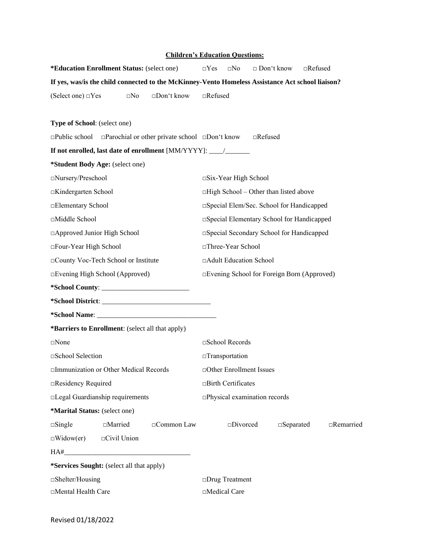# **Children's Education Questions:**

| <i>*Education Enrollment Status: (select one)</i> |                                                  |                                                                                                  | $\Box$ Yes                    | $\square$ No                   | $\Box$ Don't know                            |                     | $\Box$ Refused |                  |
|---------------------------------------------------|--------------------------------------------------|--------------------------------------------------------------------------------------------------|-------------------------------|--------------------------------|----------------------------------------------|---------------------|----------------|------------------|
|                                                   |                                                  | If yes, was/is the child connected to the McKinney-Vento Homeless Assistance Act school liaison? |                               |                                |                                              |                     |                |                  |
| (Select one) $\Box$ Yes                           | $\square$ No                                     | $\square$ Don't know                                                                             | $\Box$ Refused                |                                |                                              |                     |                |                  |
|                                                   |                                                  |                                                                                                  |                               |                                |                                              |                     |                |                  |
| Type of School: (select one)                      |                                                  |                                                                                                  |                               |                                |                                              |                     |                |                  |
|                                                   |                                                  | $\Box$ Public school $\Box$ Parochial or other private school $\Box$ Don't know                  |                               |                                | $\Box$ Refused                               |                     |                |                  |
|                                                   |                                                  |                                                                                                  |                               |                                |                                              |                     |                |                  |
|                                                   | *Student Body Age: (select one)                  |                                                                                                  |                               |                                |                                              |                     |                |                  |
| □Nursery/Preschool                                |                                                  |                                                                                                  |                               | $\square$ Six-Year High School |                                              |                     |                |                  |
| □Kindergarten School                              |                                                  |                                                                                                  |                               |                                | $\Box$ High School – Other than listed above |                     |                |                  |
| □Elementary School                                |                                                  |                                                                                                  |                               |                                | □Special Elem/Sec. School for Handicapped    |                     |                |                  |
| □Middle School                                    |                                                  |                                                                                                  |                               |                                | □Special Elementary School for Handicapped   |                     |                |                  |
| □ Approved Junior High School                     |                                                  |                                                                                                  |                               |                                | □ Special Secondary School for Handicapped   |                     |                |                  |
| □Four-Year High School                            |                                                  |                                                                                                  |                               | □Three-Year School             |                                              |                     |                |                  |
|                                                   | □County Voc-Tech School or Institute             |                                                                                                  | □Adult Education School       |                                |                                              |                     |                |                  |
| □Evening High School (Approved)                   |                                                  | □Evening School for Foreign Born (Approved)                                                      |                               |                                |                                              |                     |                |                  |
|                                                   |                                                  |                                                                                                  |                               |                                |                                              |                     |                |                  |
|                                                   |                                                  |                                                                                                  |                               |                                |                                              |                     |                |                  |
|                                                   |                                                  |                                                                                                  |                               |                                |                                              |                     |                |                  |
|                                                   | *Barriers to Enrollment: (select all that apply) |                                                                                                  |                               |                                |                                              |                     |                |                  |
| $\square$ None                                    |                                                  |                                                                                                  | □School Records               |                                |                                              |                     |                |                  |
| □School Selection                                 |                                                  |                                                                                                  | $\Box$ Transportation         |                                |                                              |                     |                |                  |
| □Immunization or Other Medical Records            |                                                  |                                                                                                  | □Other Enrollment Issues      |                                |                                              |                     |                |                  |
| □Residency Required                               |                                                  |                                                                                                  | □Birth Certificates           |                                |                                              |                     |                |                  |
| □Legal Guardianship requirements                  |                                                  |                                                                                                  | □Physical examination records |                                |                                              |                     |                |                  |
| *Marital Status: (select one)                     |                                                  |                                                                                                  |                               |                                |                                              |                     |                |                  |
| $\square$ Single                                  | □Married                                         | □Common Law                                                                                      |                               | $\square$ Divorced             |                                              | $\square$ Separated |                | $\Box$ Remarried |
| $\Box$ Widow(er)                                  | $\Box$ Civil Union                               |                                                                                                  |                               |                                |                                              |                     |                |                  |
|                                                   |                                                  |                                                                                                  |                               |                                |                                              |                     |                |                  |
|                                                   | *Services Sought: (select all that apply)        |                                                                                                  |                               |                                |                                              |                     |                |                  |
| $\square$ Shelter/Housing                         |                                                  |                                                                                                  | □Drug Treatment               |                                |                                              |                     |                |                  |
| □Mental Health Care                               |                                                  |                                                                                                  | □Medical Care                 |                                |                                              |                     |                |                  |